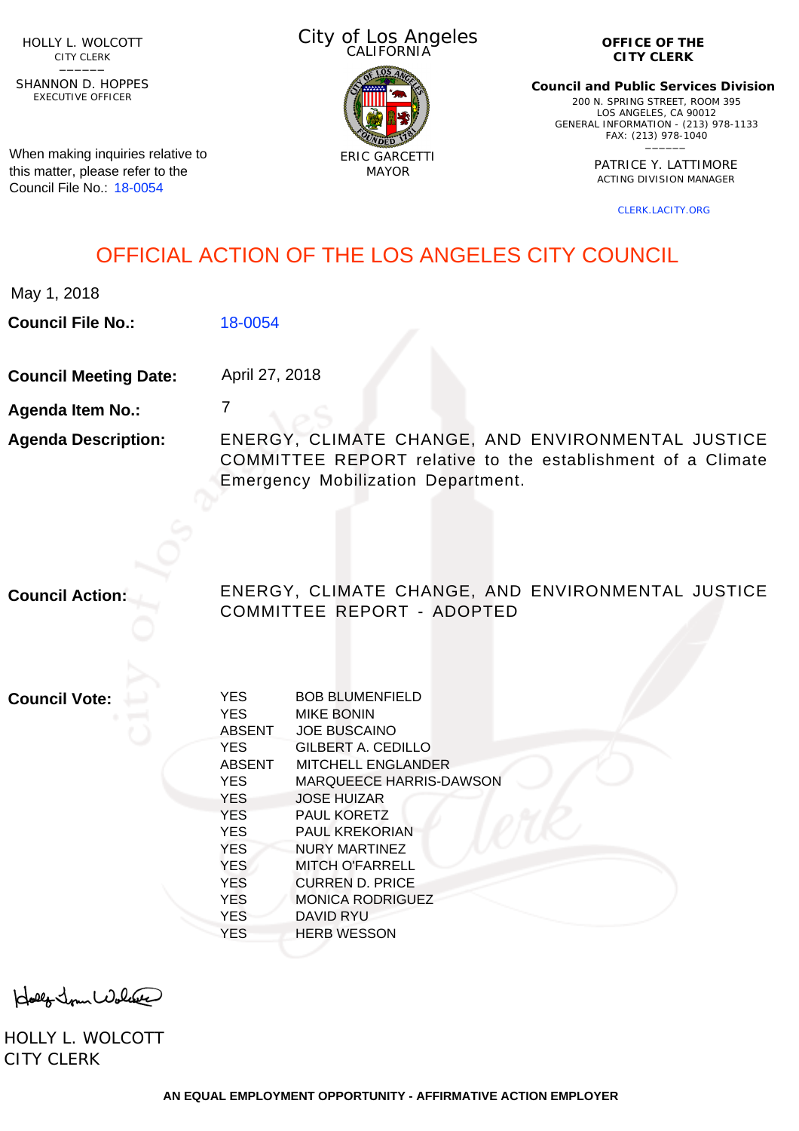HOLLY L. WOLCOTT CITY CLERK<br>—————

EXECUTIVE OFFICER SHANNON D. HOPPES

When making inquiries relative to this matter, please refer to the Council File No.: [18-0054](http://cityclerk.lacity.org/lacityclerkconnect/index.cfm?fa=ccfi.viewrecord&cfnumber=18-0054)

City of Los Angeles CALIFORNIA



**OFFICE OF THE CITY CLERK**

**Council and Public Services Division** 200 N. SPRING STREET, ROOM 395 LOS ANGELES, CA 90012 GENERAL INFORMATION - (213) 978-1133 FAX: (213) 978-1040 \_\_\_\_\_\_

> PATRICE Y. LATTIMORE ACTING DIVISION MANAGER

> > [CLERK.LACITY.ORG](http://clerk.lacity.org)

# OFFICIAL ACTION OF THE LOS ANGELES CITY COUNCIL

**Council File No.:** [18-0054](http://cityclerk.lacity.org/lacityclerkconnect/index.cfm?fa=ccfi.viewrecord&cfnumber=18-0054)

**Council Meeting Date:** April 27, 2018

7

**Agenda Item No.:**

**Agenda Description:** ENERGY, CLIMATE CHANGE, AND ENVIRONMENTAL JUSTICE COMMITTEE REPORT relative to the establishment of a Climate Emergency Mobilization Department.

**Council Action:** ENERGY, CLIMATE CHANGE, AND ENVIRONMENTAL JUSTICE COMMITTEE REPORT - ADOPTED

**Council Vote:**

| <b>YES</b>    | <b>BOB BLUMENFIELD</b>         |
|---------------|--------------------------------|
| <b>YES</b>    | <b>MIKE BONIN</b>              |
| <b>ABSENT</b> | <b>JOE BUSCAINO</b>            |
| <b>YES</b>    | GILBERT A. CEDILLO             |
| <b>ABSENT</b> | <b>MITCHELL ENGLANDER</b>      |
| <b>YES</b>    | <b>MARQUEECE HARRIS-DAWSON</b> |
| <b>YES</b>    | <b>JOSE HUIZAR</b>             |
| <b>YES</b>    | <b>PAUL KORETZ</b>             |
| <b>YES</b>    | PAUL KREKORIAN                 |
| <b>YES</b>    | NURY MARTINEZ                  |
| <b>YES</b>    | MITCH O'FARRELL                |
| <b>YES</b>    | <b>CURREN D. PRICE</b>         |
| <b>YES</b>    | <b>MONICA RODRIGUEZ</b>        |
| <b>YES</b>    | DAVID RYU                      |
| YES           | <b>HERB WESSON</b>             |
|               |                                |

Holly Jour Wolfer

HOLLY L. WOLCOTT CITY CLERK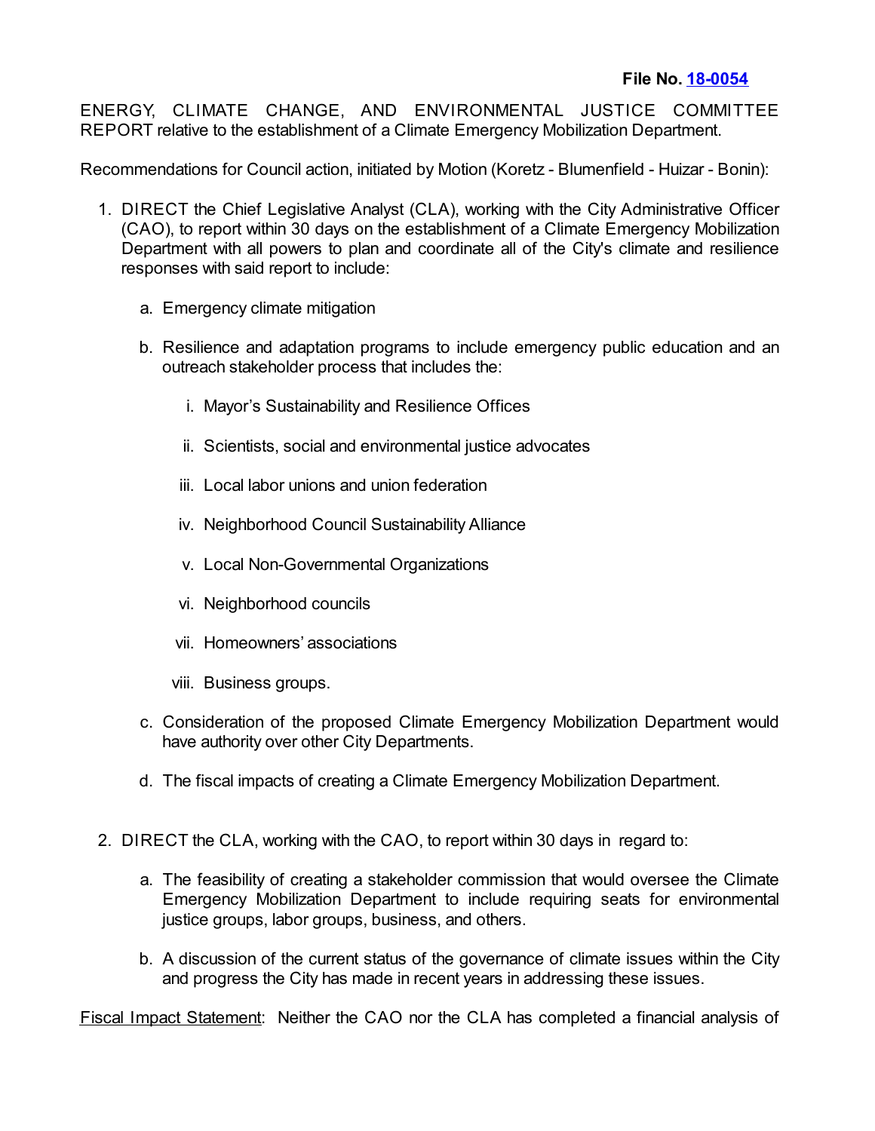ENERGY, CLIMATE CHANGE, AND ENVIRONMENTAL JUSTICE COMMITTEE REPORT relative to the establishment of a Climate Emergency Mobilization Department.

Recommendations for Council action, initiated by Motion (Koretz - Blumenfield - Huizar - Bonin):

- 1. DIRECT the Chief Legislative Analyst (CLA), working with the City Administrative Officer (CAO), to report within 30 days on the establishment of a Climate Emergency Mobilization Department with all powers to plan and coordinate all of the City's climate and resilience responses with said report to include:
	- a. Emergency climate mitigation
	- b. Resilience and adaptation programs to include emergency public education and an outreach stakeholder process that includes the:
		- i. Mayor's Sustainability and Resilience Offices
		- ii. Scientists, social and environmental justice advocates
		- iii. Local labor unions and union federation
		- iv. Neighborhood Council Sustainability Alliance
		- v. Local Non-Governmental Organizations
		- vi. Neighborhood councils
		- vii. Homeowners' associations
		- viii. Business groups.
	- c. Consideration of the proposed Climate Emergency Mobilization Department would have authority over other City Departments.
	- d. The fiscal impacts of creating a Climate Emergency Mobilization Department.
- 2. DIRECT the CLA, working with the CAO, to report within 30 days in regard to:
	- a. The feasibility of creating a stakeholder commission that would oversee the Climate Emergency Mobilization Department to include requiring seats for environmental justice groups, labor groups, business, and others.
	- b. A discussion of the current status of the governance of climate issues within the City and progress the City has made in recent years in addressing these issues.

Fiscal Impact Statement: Neither the CAO nor the CLA has completed a financial analysis of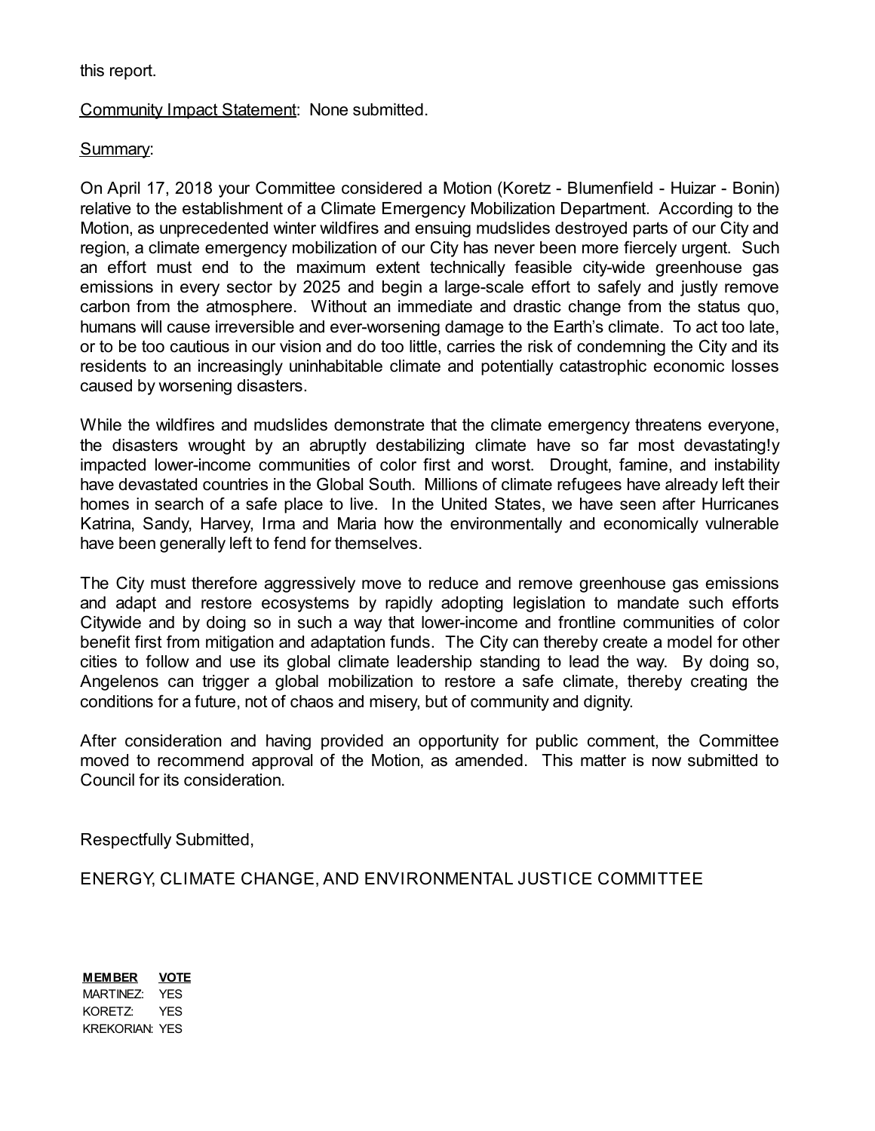#### this report.

### Community Impact Statement: None submitted.

### Summary:

On April 17, 2018 your Committee considered a Motion (Koretz - Blumenfield - Huizar - Bonin) relative to the establishment of a Climate Emergency Mobilization Department. According to the Motion, as unprecedented winter wildfires and ensuing mudslides destroyed parts of our City and region, a climate emergency mobilization of our City has never been more fiercely urgent. Such an effort must end to the maximum extent technically feasible city-wide greenhouse gas emissions in every sector by 2025 and begin a large-scale effort to safely and justly remove carbon from the atmosphere. Without an immediate and drastic change from the status quo, humans will cause irreversible and ever-worsening damage to the Earth's climate. To act too late, or to be too cautious in our vision and do too little, carries the risk of condemning the City and its residents to an increasingly uninhabitable climate and potentially catastrophic economic losses caused by worsening disasters.

While the wildfires and mudslides demonstrate that the climate emergency threatens everyone, the disasters wrought by an abruptly destabilizing climate have so far most devastating!y impacted lower-income communities of color first and worst. Drought, famine, and instability have devastated countries in the Global South. Millions of climate refugees have already left their homes in search of a safe place to live. In the United States, we have seen after Hurricanes Katrina, Sandy, Harvey, Irma and Maria how the environmentally and economically vulnerable have been generally left to fend for themselves.

The City must therefore aggressively move to reduce and remove greenhouse gas emissions and adapt and restore ecosystems by rapidly adopting legislation to mandate such efforts Citywide and by doing so in such a way that lower-income and frontline communities of color benefit first from mitigation and adaptation funds. The City can thereby create a model for other cities to follow and use its global climate leadership standing to lead the way. By doing so, Angelenos can trigger a global mobilization to restore a safe climate, thereby creating the conditions for a future, not of chaos and misery, but of community and dignity.

After consideration and having provided an opportunity for public comment, the Committee moved to recommend approval of the Motion, as amended. This matter is now submitted to Council for its consideration.

Respectfully Submitted,

ENERGY, CLIMATE CHANGE, AND ENVIRONMENTAL JUSTICE COMMITTEE

**MEMBER VOTE** MARTINEZ: YES KORETZ: YES KREKORIAN: YES